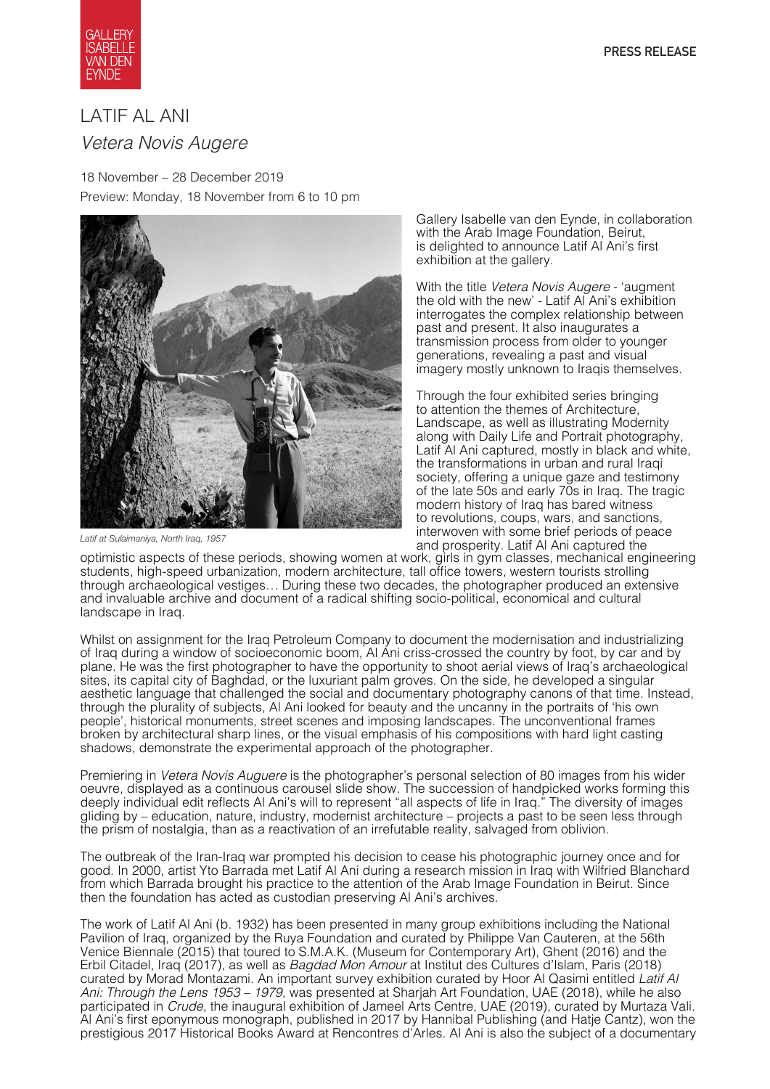

# LATIF AL ANI *Vetera Novis Augere*

18 November – 28 December 2019 Preview: Monday, 18 November from 6 to 10 pm



*Latif at Sulaimaniya, North Iraq, 1957*

Gallery Isabelle van den Eynde, in collaboration with the Arab Image Foundation, Beirut, is delighted to announce Latif Al Ani's first exhibition at the gallery.

With the title *Vetera Novis Augere* - 'augment the old with the new' - Latif Al Ani's exhibition interrogates the complex relationship between past and present. It also inaugurates a transmission process from older to younger generations, revealing a past and visual imagery mostly unknown to Iraqis themselves.

Through the four exhibited series bringing to attention the themes of Architecture, Landscape, as well as illustrating Modernity along with Daily Life and Portrait photography, Latif Al Ani captured, mostly in black and white, the transformations in urban and rural Iraqi society, offering a unique gaze and testimony of the late 50s and early 70s in Iraq. The tragic modern history of Iraq has bared witness to revolutions, coups, wars, and sanctions, interwoven with some brief periods of peace and prosperity. Latif Al Ani captured the

optimistic aspects of these periods, showing women at work, girls in gym classes, mechanical engineering students, high-speed urbanization, modern architecture, tall office towers, western tourists strolling through archaeological vestiges… During these two decades, the photographer produced an extensive and invaluable archive and document of a radical shifting socio-political, economical and cultural landscape in Iraq.

Whilst on assignment for the Iraq Petroleum Company to document the modernisation and industrializing of Iraq during a window of socioeconomic boom, Al Ani criss-crossed the country by foot, by car and by plane. He was the first photographer to have the opportunity to shoot aerial views of Iraq's archaeological sites, its capital city of Baghdad, or the luxuriant palm groves. On the side, he developed a singular aesthetic language that challenged the social and documentary photography canons of that time. Instead, through the plurality of subjects, Al Ani looked for beauty and the uncanny in the portraits of 'his own people', historical monuments, street scenes and imposing landscapes. The unconventional frames broken by architectural sharp lines, or the visual emphasis of his compositions with hard light casting shadows, demonstrate the experimental approach of the photographer.

Premiering in *Vetera Novis Auguere* is the photographer's personal selection of 80 images from his wider oeuvre, displayed as a continuous carousel slide show. The succession of handpicked works forming this deeply individual edit reflects Al Ani's will to represent "all aspects of life in Iraq." The diversity of images gliding by – education, nature, industry, modernist architecture – projects a past to be seen less through the prism of nostalgia, than as a reactivation of an irrefutable reality, salvaged from oblivion.

The outbreak of the Iran-Iraq war prompted his decision to cease his photographic journey once and for good. In 2000, artist Yto Barrada met Latif Al Ani during a research mission in Iraq with Wilfried Blanchard from which Barrada brought his practice to the attention of the Arab Image Foundation in Beirut. Since then the foundation has acted as custodian preserving Al Ani's archives.

The work of Latif Al Ani (b. 1932) has been presented in many group exhibitions including the National Pavilion of Iraq, organized by the Ruya Foundation and curated by Philippe Van Cauteren, at the 56th Venice Biennale (2015) that toured to S.M.A.K. (Museum for Contemporary Art), Ghent (2016) and the Erbil Citadel, Iraq (2017), as well as *Bagdad Mon Amour* at Institut des Cultures d'Islam, Paris (2018) curated by Morad Montazami. An important survey exhibition curated by Hoor Al Qasimi entitled *Latif Al Ani: Through the Lens 1953 – 1979*, was presented at Sharjah Art Foundation, UAE (2018), while he also participated in *Crude*, the inaugural exhibition of Jameel Arts Centre, UAE (2019), curated by Murtaza Vali. Al Ani's first eponymous monograph, published in 2017 by Hannibal Publishing (and Hatje Cantz), won the prestigious 2017 Historical Books Award at Rencontres d'Arles. Al Ani is also the subject of a documentary